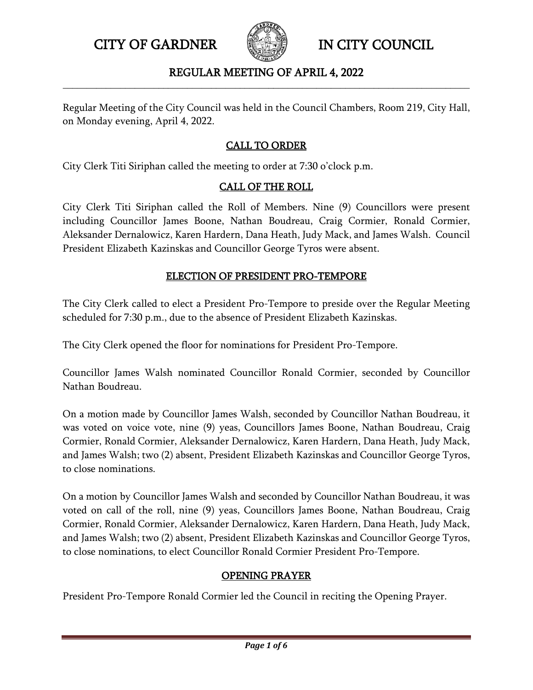

## REGULAR MEETING OF APRIL 4, 2022 **\_\_\_\_\_\_\_\_\_\_\_\_\_\_\_\_\_\_\_\_\_\_\_\_\_\_\_\_\_\_\_\_\_\_\_\_\_\_\_\_\_\_\_\_\_\_\_\_\_\_\_\_\_\_\_\_\_\_\_\_\_\_\_\_\_\_\_\_\_\_\_\_\_\_\_\_\_\_\_\_\_\_\_\_\_**

Regular Meeting of the City Council was held in the Council Chambers, Room 219, City Hall, on Monday evening, April 4, 2022.

## CALL TO ORDER

City Clerk Titi Siriphan called the meeting to order at 7:30 o'clock p.m.

## CALL OF THE ROLL

City Clerk Titi Siriphan called the Roll of Members. Nine (9) Councillors were present including Councillor James Boone, Nathan Boudreau, Craig Cormier, Ronald Cormier, Aleksander Dernalowicz, Karen Hardern, Dana Heath, Judy Mack, and James Walsh. Council President Elizabeth Kazinskas and Councillor George Tyros were absent.

## ELECTION OF PRESIDENT PRO-TEMPORE

The City Clerk called to elect a President Pro-Tempore to preside over the Regular Meeting scheduled for 7:30 p.m., due to the absence of President Elizabeth Kazinskas.

The City Clerk opened the floor for nominations for President Pro-Tempore.

Councillor James Walsh nominated Councillor Ronald Cormier, seconded by Councillor Nathan Boudreau.

On a motion made by Councillor James Walsh, seconded by Councillor Nathan Boudreau, it was voted on voice vote, nine (9) yeas, Councillors James Boone, Nathan Boudreau, Craig Cormier, Ronald Cormier, Aleksander Dernalowicz, Karen Hardern, Dana Heath, Judy Mack, and James Walsh; two (2) absent, President Elizabeth Kazinskas and Councillor George Tyros, to close nominations.

On a motion by Councillor James Walsh and seconded by Councillor Nathan Boudreau, it was voted on call of the roll, nine (9) yeas, Councillors James Boone, Nathan Boudreau, Craig Cormier, Ronald Cormier, Aleksander Dernalowicz, Karen Hardern, Dana Heath, Judy Mack, and James Walsh; two (2) absent, President Elizabeth Kazinskas and Councillor George Tyros, to close nominations, to elect Councillor Ronald Cormier President Pro-Tempore.

## OPENING PRAYER

President Pro-Tempore Ronald Cormier led the Council in reciting the Opening Prayer.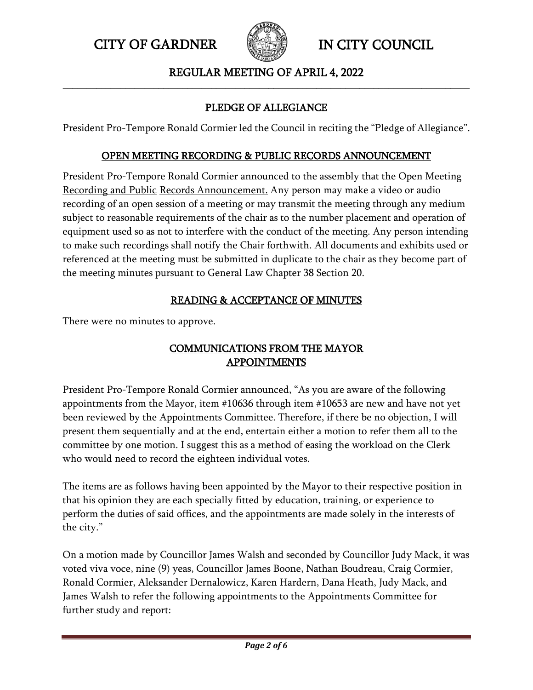

## REGULAR MEETING OF APRIL 4, 2022 **\_\_\_\_\_\_\_\_\_\_\_\_\_\_\_\_\_\_\_\_\_\_\_\_\_\_\_\_\_\_\_\_\_\_\_\_\_\_\_\_\_\_\_\_\_\_\_\_\_\_\_\_\_\_\_\_\_\_\_\_\_\_\_\_\_\_\_\_\_\_\_\_\_\_\_\_\_\_\_\_\_\_\_\_\_**

# PLEDGE OF ALLEGIANCE

President Pro-Tempore Ronald Cormier led the Council in reciting the "Pledge of Allegiance".

#### OPEN MEETING RECORDING & PUBLIC RECORDS ANNOUNCEMENT

President Pro-Tempore Ronald Cormier announced to the assembly that the Open Meeting Recording and Public Records Announcement. Any person may make a video or audio recording of an open session of a meeting or may transmit the meeting through any medium subject to reasonable requirements of the chair as to the number placement and operation of equipment used so as not to interfere with the conduct of the meeting. Any person intending to make such recordings shall notify the Chair forthwith. All documents and exhibits used or referenced at the meeting must be submitted in duplicate to the chair as they become part of the meeting minutes pursuant to General Law Chapter 38 Section 20.

## READING & ACCEPTANCE OF MINUTES

There were no minutes to approve.

# COMMUNICATIONS FROM THE MAYOR APPOINTMENTS

President Pro-Tempore Ronald Cormier announced, "As you are aware of the following appointments from the Mayor, item #10636 through item #10653 are new and have not yet been reviewed by the Appointments Committee. Therefore, if there be no objection, I will present them sequentially and at the end, entertain either a motion to refer them all to the committee by one motion. I suggest this as a method of easing the workload on the Clerk who would need to record the eighteen individual votes.

The items are as follows having been appointed by the Mayor to their respective position in that his opinion they are each specially fitted by education, training, or experience to perform the duties of said offices, and the appointments are made solely in the interests of the city."

On a motion made by Councillor James Walsh and seconded by Councillor Judy Mack, it was voted viva voce, nine (9) yeas, Councillor James Boone, Nathan Boudreau, Craig Cormier, Ronald Cormier, Aleksander Dernalowicz, Karen Hardern, Dana Heath, Judy Mack, and James Walsh to refer the following appointments to the Appointments Committee for further study and report: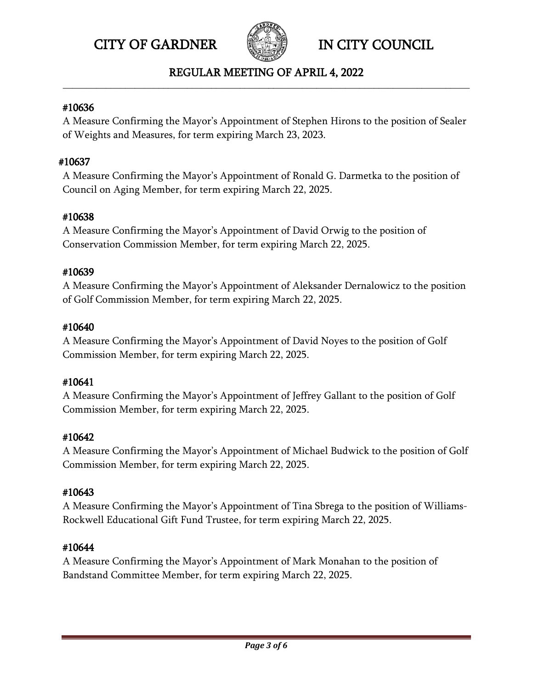



## REGULAR MEETING OF APRIL 4, 2022 **\_\_\_\_\_\_\_\_\_\_\_\_\_\_\_\_\_\_\_\_\_\_\_\_\_\_\_\_\_\_\_\_\_\_\_\_\_\_\_\_\_\_\_\_\_\_\_\_\_\_\_\_\_\_\_\_\_\_\_\_\_\_\_\_\_\_\_\_\_\_\_\_\_\_\_\_\_\_\_\_\_\_\_\_\_**

#### #10636

A Measure Confirming the Mayor's Appointment of Stephen Hirons to the position of Sealer of Weights and Measures, for term expiring March 23, 2023.

## #10637

A Measure Confirming the Mayor's Appointment of Ronald G. Darmetka to the position of Council on Aging Member, for term expiring March 22, 2025.

## #10638

A Measure Confirming the Mayor's Appointment of David Orwig to the position of Conservation Commission Member, for term expiring March 22, 2025.

## #10639

A Measure Confirming the Mayor's Appointment of Aleksander Dernalowicz to the position of Golf Commission Member, for term expiring March 22, 2025.

## #10640

A Measure Confirming the Mayor's Appointment of David Noyes to the position of Golf Commission Member, for term expiring March 22, 2025.

## #10641

A Measure Confirming the Mayor's Appointment of Jeffrey Gallant to the position of Golf Commission Member, for term expiring March 22, 2025.

## #10642

A Measure Confirming the Mayor's Appointment of Michael Budwick to the position of Golf Commission Member, for term expiring March 22, 2025.

## #10643

A Measure Confirming the Mayor's Appointment of Tina Sbrega to the position of Williams-Rockwell Educational Gift Fund Trustee, for term expiring March 22, 2025.

## #10644

A Measure Confirming the Mayor's Appointment of Mark Monahan to the position of Bandstand Committee Member, for term expiring March 22, 2025.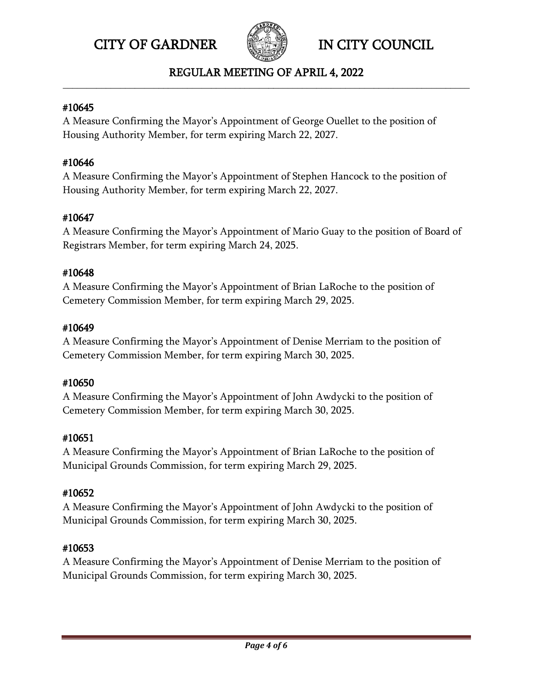



#### REGULAR MEETING OF APRIL 4, 2022 **\_\_\_\_\_\_\_\_\_\_\_\_\_\_\_\_\_\_\_\_\_\_\_\_\_\_\_\_\_\_\_\_\_\_\_\_\_\_\_\_\_\_\_\_\_\_\_\_\_\_\_\_\_\_\_\_\_\_\_\_\_\_\_\_\_\_\_\_\_\_\_\_\_\_\_\_\_\_\_\_\_\_\_\_\_**

#### #10645

A Measure Confirming the Mayor's Appointment of George Ouellet to the position of Housing Authority Member, for term expiring March 22, 2027.

## #10646

A Measure Confirming the Mayor's Appointment of Stephen Hancock to the position of Housing Authority Member, for term expiring March 22, 2027.

## #10647

A Measure Confirming the Mayor's Appointment of Mario Guay to the position of Board of Registrars Member, for term expiring March 24, 2025.

## #10648

A Measure Confirming the Mayor's Appointment of Brian LaRoche to the position of Cemetery Commission Member, for term expiring March 29, 2025.

## #10649

A Measure Confirming the Mayor's Appointment of Denise Merriam to the position of Cemetery Commission Member, for term expiring March 30, 2025.

## #10650

A Measure Confirming the Mayor's Appointment of John Awdycki to the position of Cemetery Commission Member, for term expiring March 30, 2025.

## #10651

A Measure Confirming the Mayor's Appointment of Brian LaRoche to the position of Municipal Grounds Commission, for term expiring March 29, 2025.

## #10652

A Measure Confirming the Mayor's Appointment of John Awdycki to the position of Municipal Grounds Commission, for term expiring March 30, 2025.

## #10653

A Measure Confirming the Mayor's Appointment of Denise Merriam to the position of Municipal Grounds Commission, for term expiring March 30, 2025.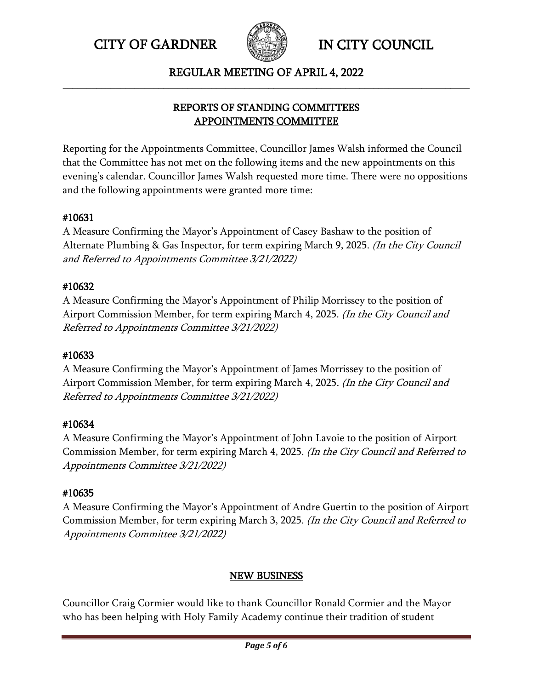

REGULAR MEETING OF APRIL 4, 2022 **\_\_\_\_\_\_\_\_\_\_\_\_\_\_\_\_\_\_\_\_\_\_\_\_\_\_\_\_\_\_\_\_\_\_\_\_\_\_\_\_\_\_\_\_\_\_\_\_\_\_\_\_\_\_\_\_\_\_\_\_\_\_\_\_\_\_\_\_\_\_\_\_\_\_\_\_\_\_\_\_\_\_\_\_\_**

## REPORTS OF STANDING COMMITTEES APPOINTMENTS COMMITTEE

Reporting for the Appointments Committee, Councillor James Walsh informed the Council that the Committee has not met on the following items and the new appointments on this evening's calendar. Councillor James Walsh requested more time. There were no oppositions and the following appointments were granted more time:

## #10631

A Measure Confirming the Mayor's Appointment of Casey Bashaw to the position of Alternate Plumbing & Gas Inspector, for term expiring March 9, 2025. (In the City Council and Referred to Appointments Committee 3/21/2022)

## #10632

A Measure Confirming the Mayor's Appointment of Philip Morrissey to the position of Airport Commission Member, for term expiring March 4, 2025. (In the City Council and Referred to Appointments Committee 3/21/2022)

## #10633

A Measure Confirming the Mayor's Appointment of James Morrissey to the position of Airport Commission Member, for term expiring March 4, 2025. (In the City Council and Referred to Appointments Committee 3/21/2022)

## #10634

A Measure Confirming the Mayor's Appointment of John Lavoie to the position of Airport Commission Member, for term expiring March 4, 2025. (In the City Council and Referred to Appointments Committee 3/21/2022)

## #10635

A Measure Confirming the Mayor's Appointment of Andre Guertin to the position of Airport Commission Member, for term expiring March 3, 2025. (In the City Council and Referred to Appointments Committee 3/21/2022)

## NEW BUSINESS

Councillor Craig Cormier would like to thank Councillor Ronald Cormier and the Mayor who has been helping with Holy Family Academy continue their tradition of student